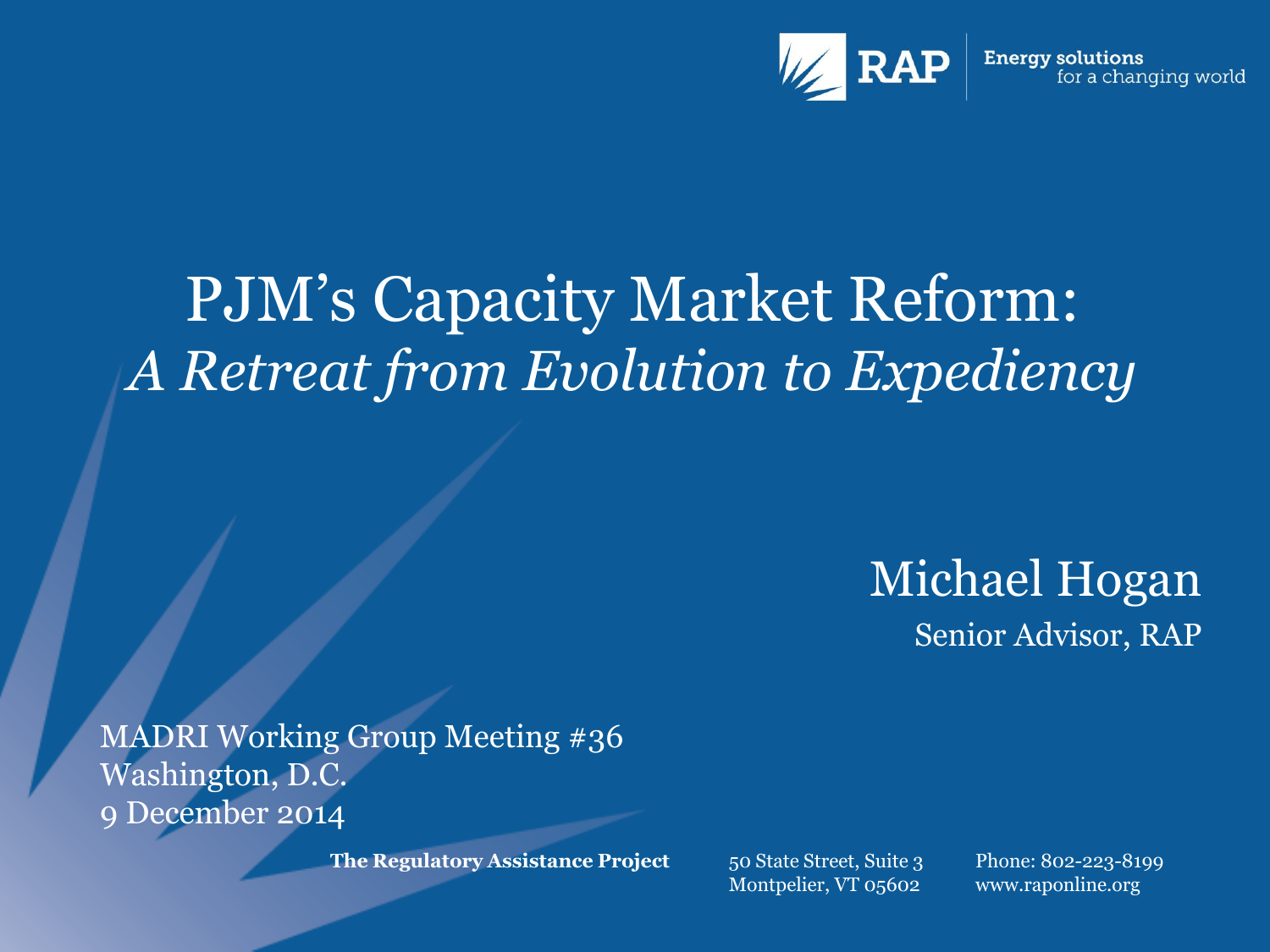

### PJM's Capacity Market Reform: *A Retreat from Evolution to Expediency*

Michael Hogan Senior Advisor, RAP

MADRI Working Group Meeting #36 Washington, D.C. 9 December 2014

**The Regulatory Assistance Project** 50 State Street, Suite 3

Montpelier, VT 05602

Phone: 802-223-8199 www.raponline.org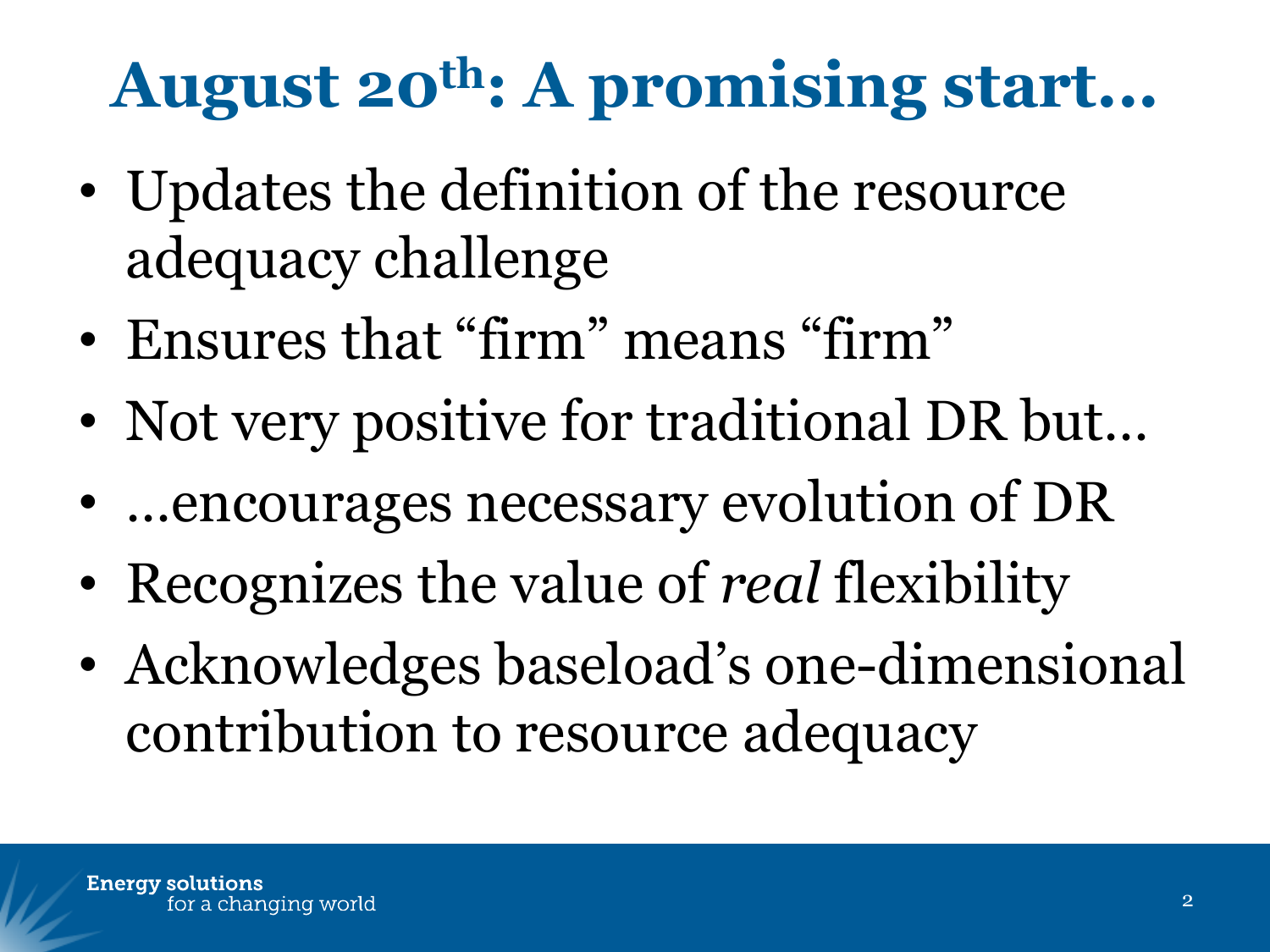# **August 20th: A promising start...**

- Updates the definition of the resource adequacy challenge
- Ensures that "firm" means "firm"
- Not very positive for traditional DR but...
- …encourages necessary evolution of DR
- Recognizes the value of *real* flexibility
- Acknowledges baseload's one-dimensional contribution to resource adequacy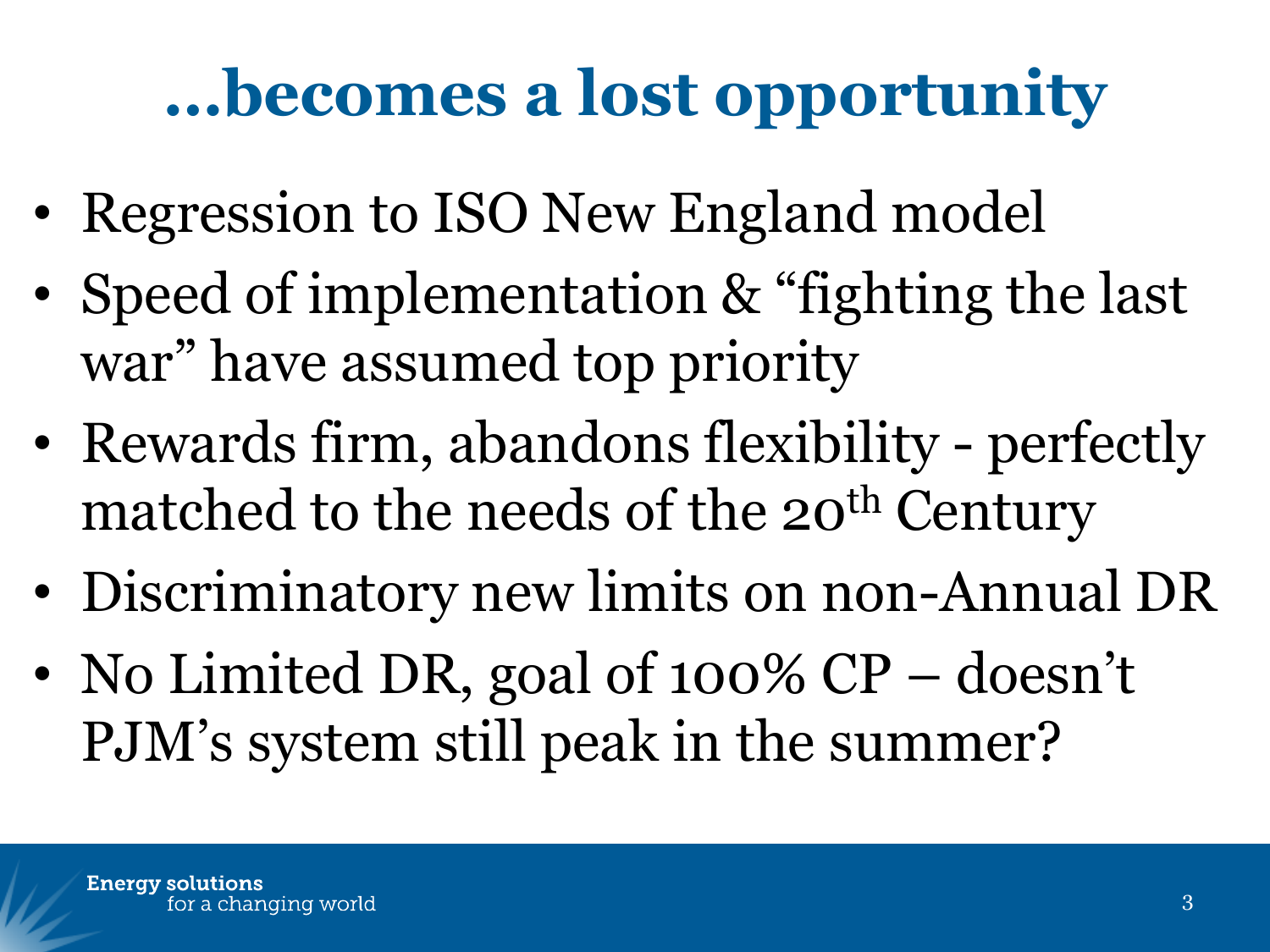# **…becomes a lost opportunity**

- Regression to ISO New England model
- Speed of implementation & "fighting the last war" have assumed top priority
- Rewards firm, abandons flexibility perfectly matched to the needs of the  $20<sup>th</sup>$  Century
- Discriminatory new limits on non-Annual DR
- No Limited DR, goal of 100% CP doesn't PJM's system still peak in the summer?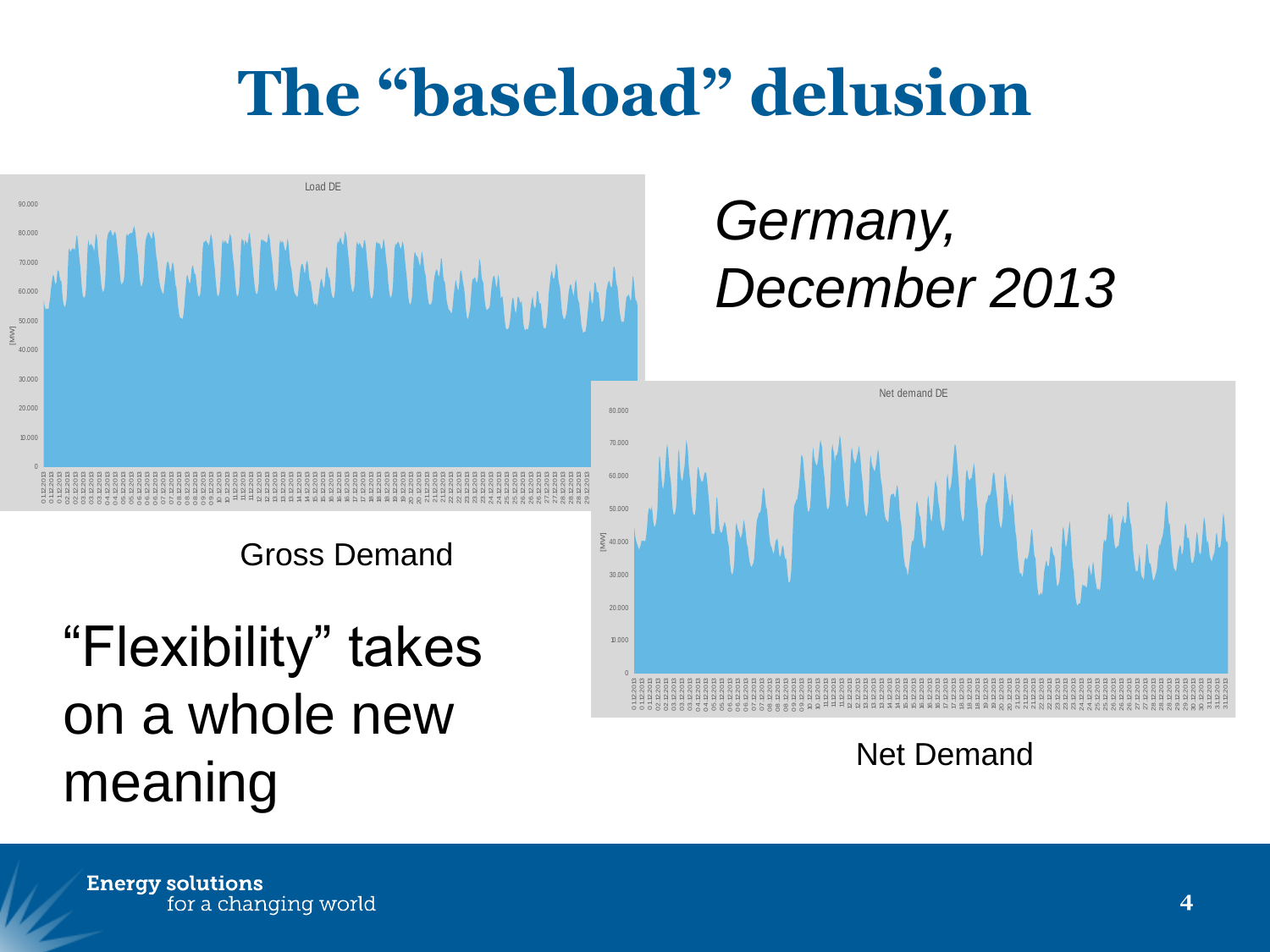## **The "baseload" delusion**



*Germany, December 2013*



Net Demand

Gross Demand

"Flexibility" takes on a whole new meaning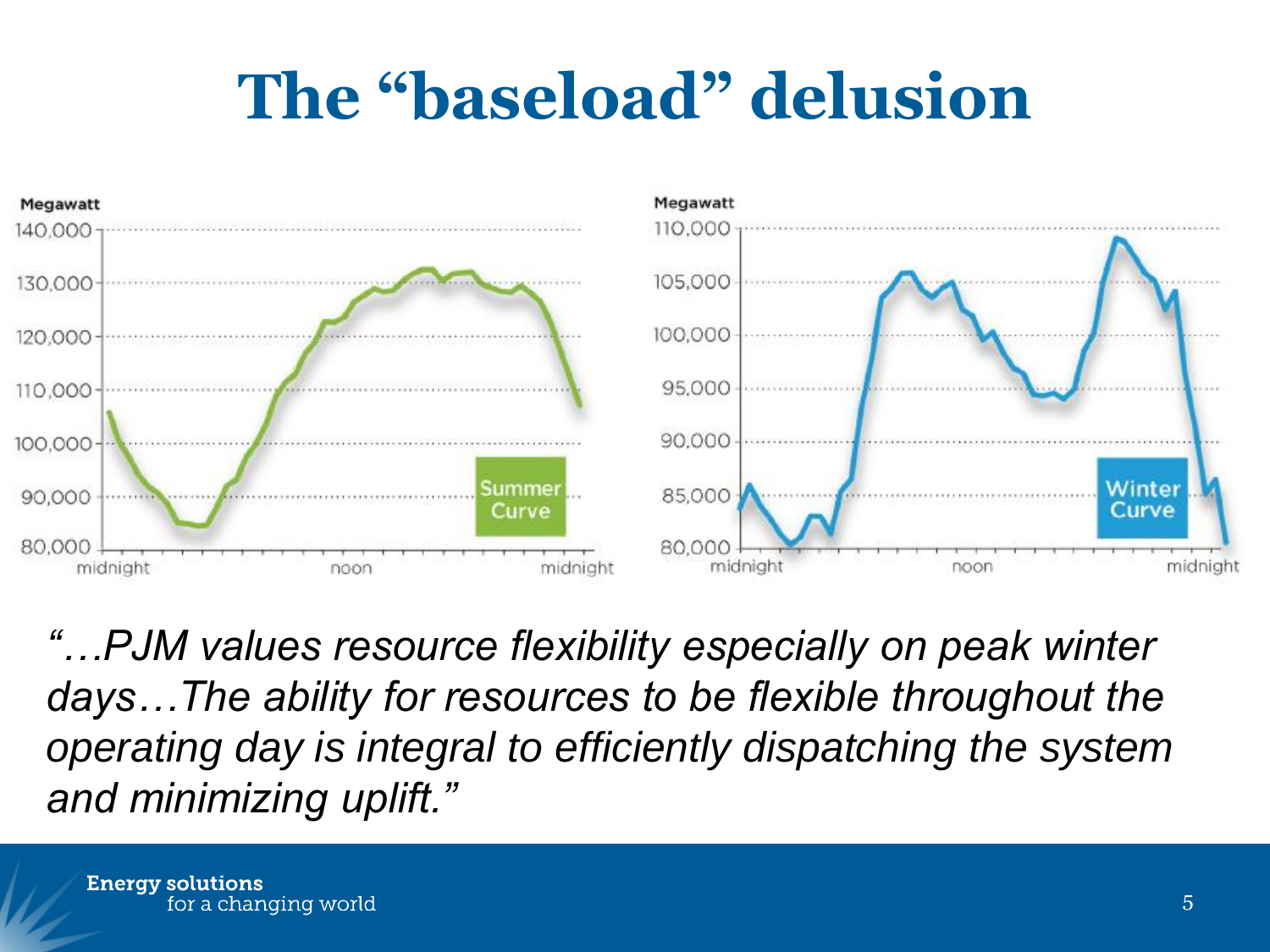### **The "baseload" delusion**



*"…PJM values resource flexibility especially on peak winter days…The ability for resources to be flexible throughout the operating day is integral to efficiently dispatching the system and minimizing uplift."*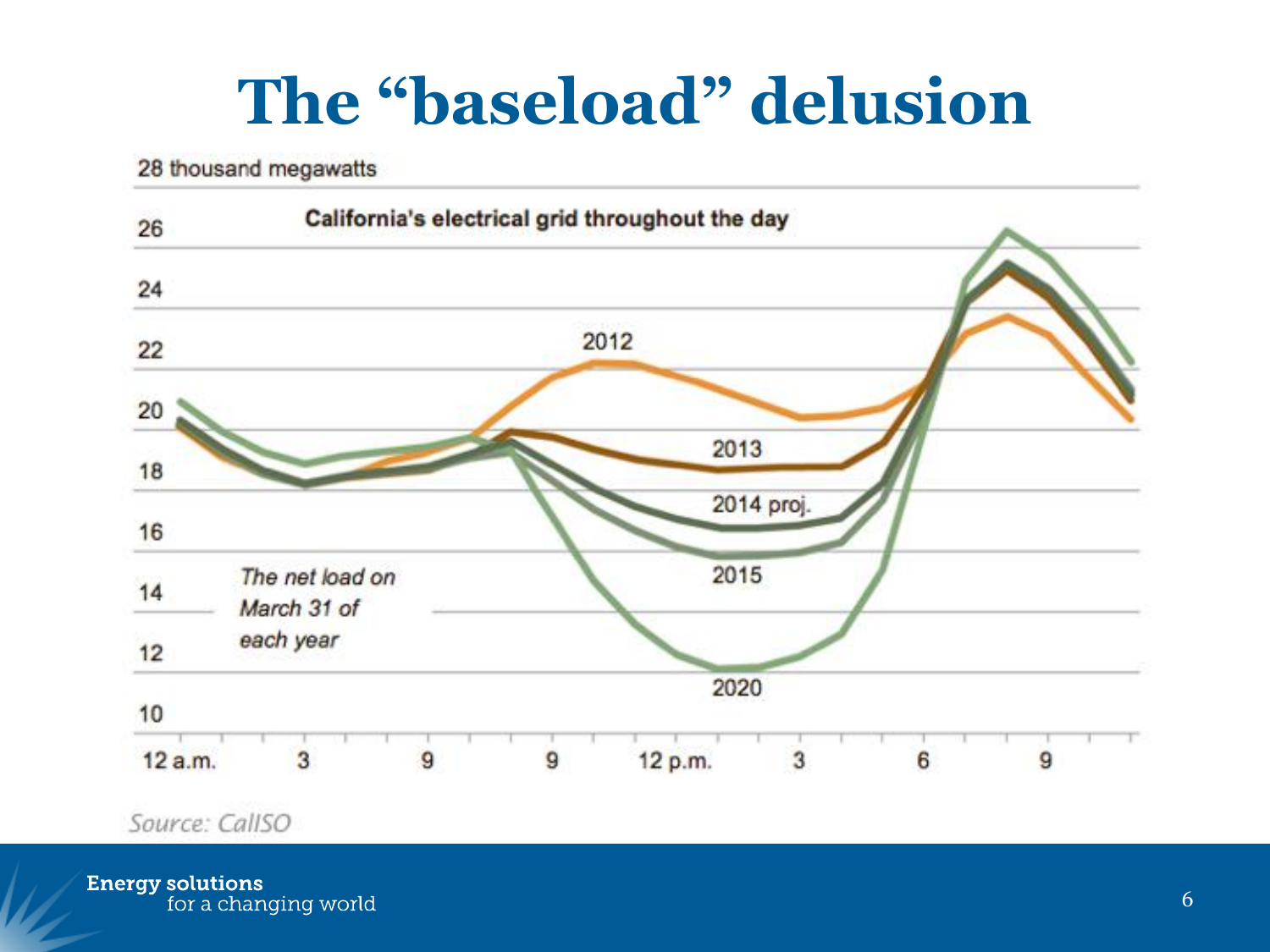### **The "baseload" delusion**

28 thousand megawatts



Source: CallSO

**Energy solutions**<br>for a changing world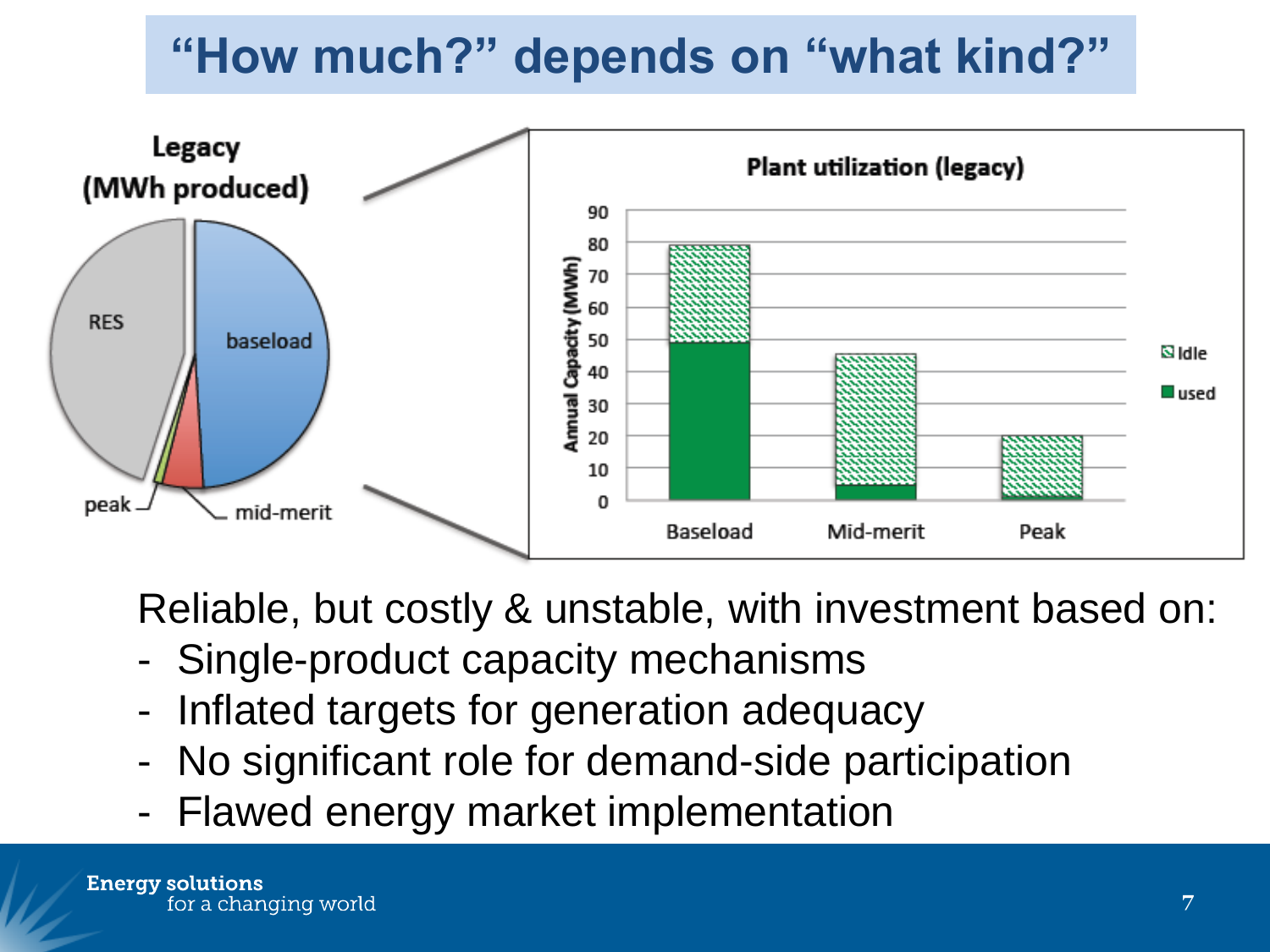#### **"How much?" depends on "what kind?"**



Reliable, but costly & unstable, with investment based on:

- Single-product capacity mechanisms
- Inflated targets for generation adequacy
- No significant role for demand-side participation
- Flawed energy market implementation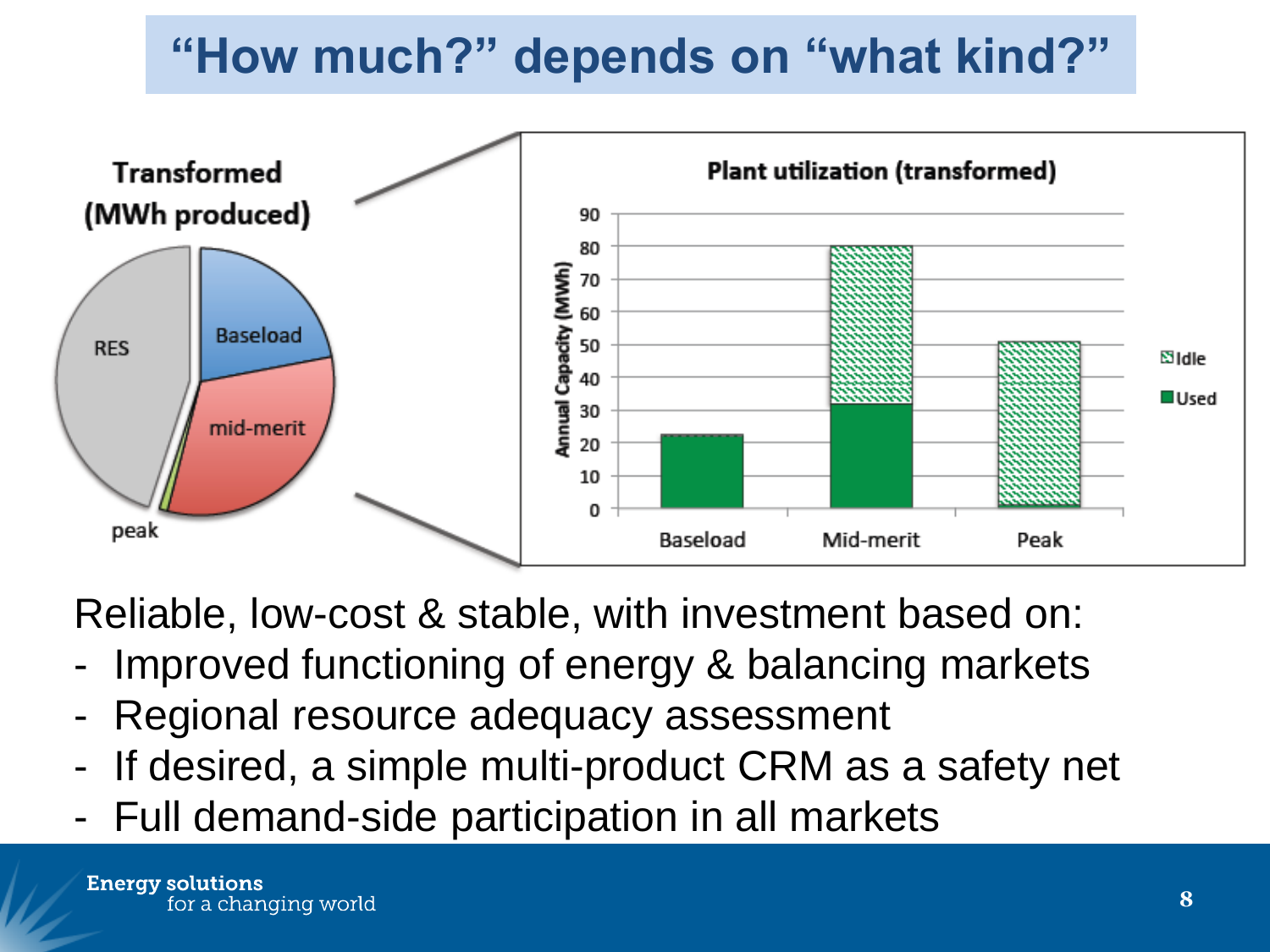#### **"How much?" depends on "what kind?"**



Reliable, low-cost & stable, with investment based on:

- Improved functioning of energy & balancing markets
- Regional resource adequacy assessment
- If desired, a simple multi-product CRM as a safety net
- Full demand-side participation in all markets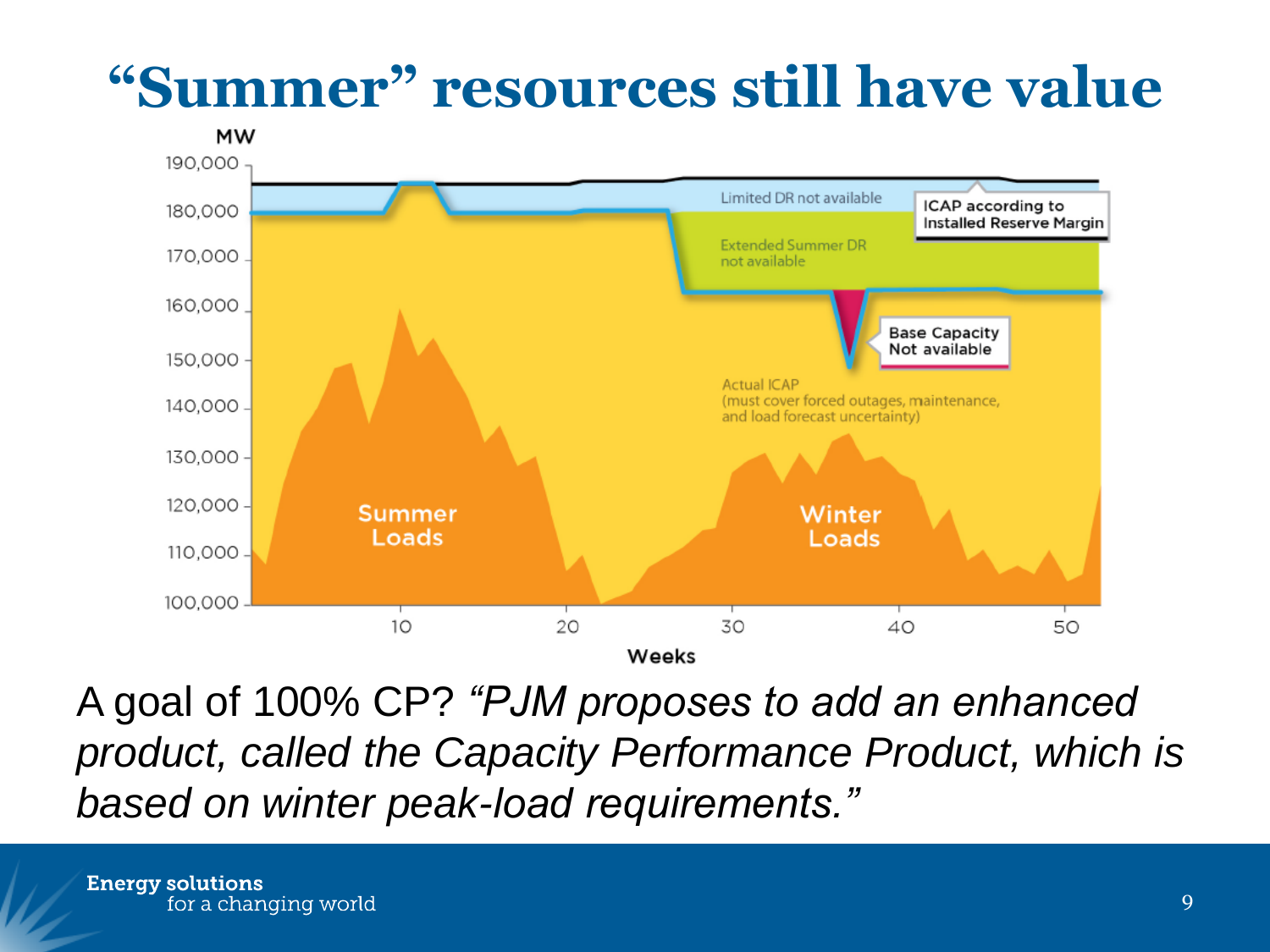### **"Summer" resources still have value**



A goal of 100% CP? *"PJM proposes to add an enhanced product, called the Capacity Performance Product, which is based on winter peak-load requirements."*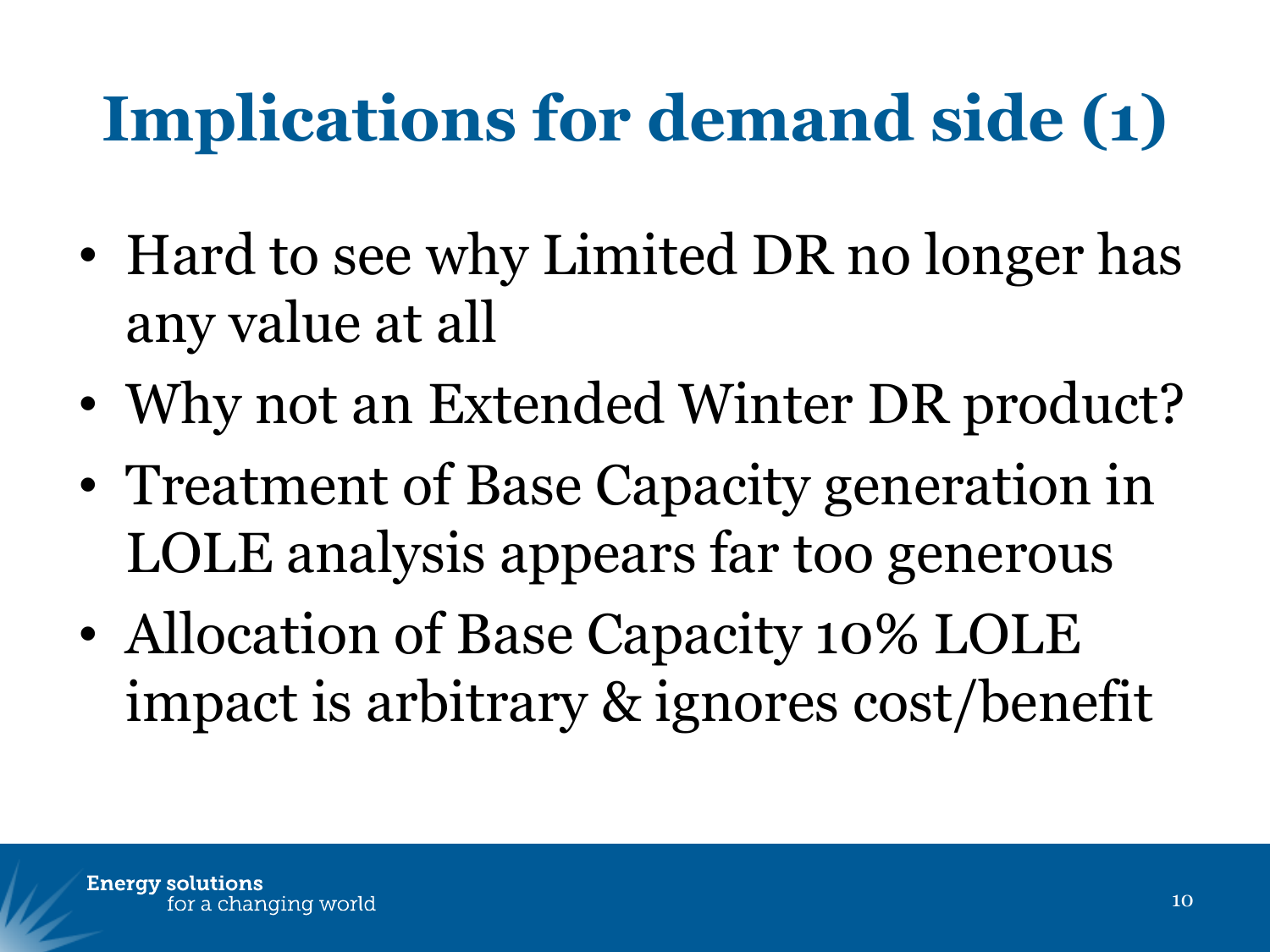# **Implications for demand side (1)**

- Hard to see why Limited DR no longer has any value at all
- Why not an Extended Winter DR product?
- Treatment of Base Capacity generation in LOLE analysis appears far too generous
- Allocation of Base Capacity 10% LOLE impact is arbitrary & ignores cost/benefit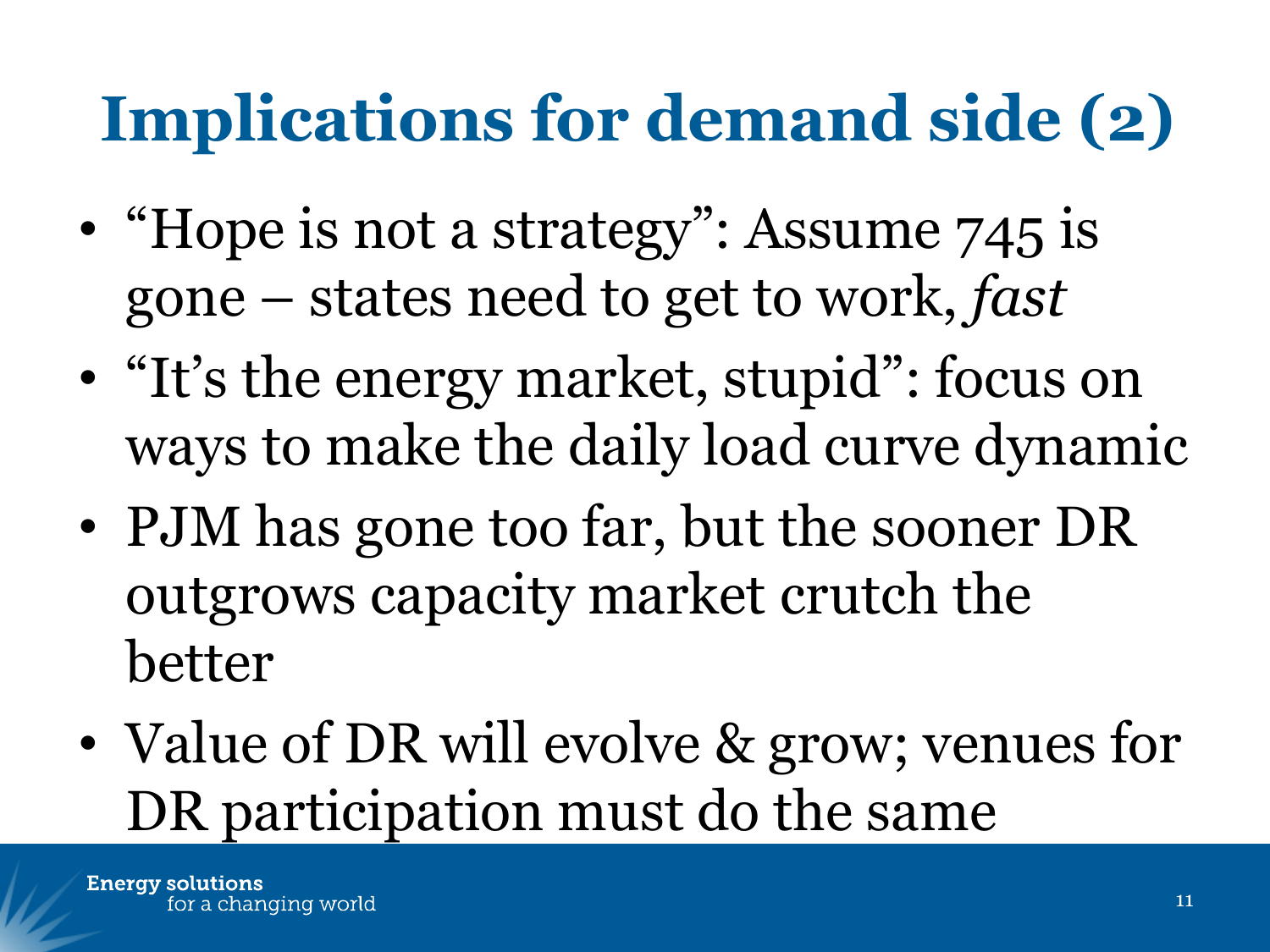# **Implications for demand side (2)**

- "Hope is not a strategy": Assume 745 is gone – states need to get to work, *fast*
- "It's the energy market, stupid": focus on ways to make the daily load curve dynamic
- PJM has gone too far, but the sooner DR outgrows capacity market crutch the better
- Value of DR will evolve & grow; venues for DR participation must do the same